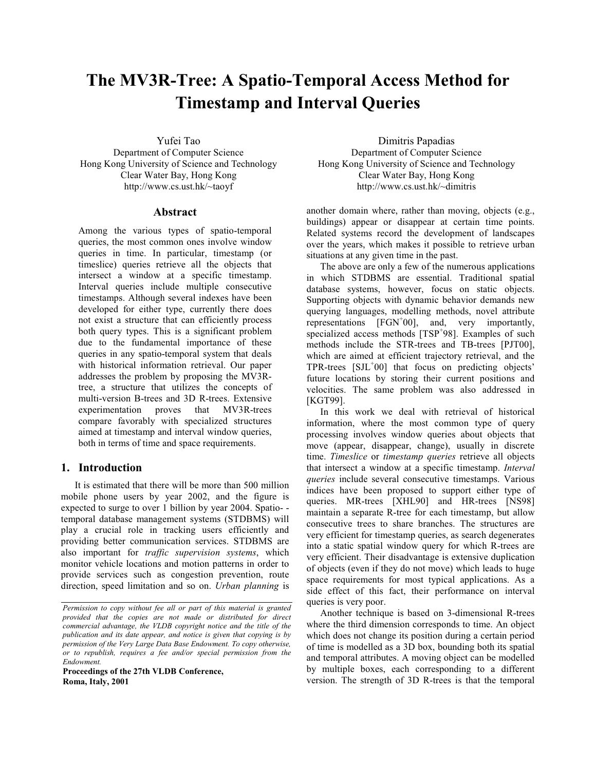# The MV3R-Tree: A Spatio-Temporal Access Method for **Timestamp and Interval Queries**

Yufei Tao

Department of Computer Science Hong Kong University of Science and Technology Clear Water Bay, Hong Kong http://www.cs.ust.hk/~taoyf

## **Abstract**

Among the various types of spatio-temporal queries, the most common ones involve window queries in time. In particular, timestamp (or timeslice) queries retrieve all the objects that intersect a window at a specific timestamp. Interval queries include multiple consecutive timestamps. Although several indexes have been developed for either type, currently there does not exist a structure that can efficiently process both query types. This is a significant problem due to the fundamental importance of these queries in any spatio-temporal system that deals with historical information retrieval. Our paper addresses the problem by proposing the MV3Rtree, a structure that utilizes the concepts of multi-version B-trees and 3D R-trees. Extensive experimentation proves that MV3R-trees compare favorably with specialized structures aimed at timestamp and interval window queries, both in terms of time and space requirements.

# 1. Introduction

It is estimated that there will be more than 500 million mobile phone users by year 2002, and the figure is expected to surge to over 1 billion by year 2004. Spatiotemporal database management systems (STDBMS) will play a crucial role in tracking users efficiently and providing better communication services. STDBMS are also important for *traffic supervision systems*, which monitor vehicle locations and motion patterns in order to provide services such as congestion prevention, route direction, speed limitation and so on. Urban planning is

Proceedings of the 27th VLDB Conference, Roma, Italy, 2001

Dimitris Papadias Department of Computer Science Hong Kong University of Science and Technology Clear Water Bay, Hong Kong http://www.cs.ust.hk/~dimitris

another domain where, rather than moving, objects (e.g., buildings) appear or disappear at certain time points. Related systems record the development of landscapes over the years, which makes it possible to retrieve urban situations at any given time in the past.

The above are only a few of the numerous applications in which STDBMS are essential. Traditional spatial database systems, however, focus on static objects. Supporting objects with dynamic behavior demands new querying languages, modelling methods, novel attribute representations  $[FGN<sup>+</sup>00]$ , and, very importantly, specialized access methods [TSP<sup>+</sup>98]. Examples of such methods include the STR-trees and TB-trees [PJT00], which are aimed at efficient trajectory retrieval, and the TPR-trees [SJL+00] that focus on predicting objects' future locations by storing their current positions and velocities. The same problem was also addressed in **[KGT99].** 

In this work we deal with retrieval of historical information, where the most common type of query processing involves window queries about objects that move (appear, disappear, change), usually in discrete time. Timeslice or timestamp queries retrieve all objects that intersect a window at a specific timestamp. Interval *queries* include several consecutive timestamps. Various indices have been proposed to support either type of queries. MR-trees [XHL90] and HR-trees [NS98] maintain a separate R-tree for each timestamp, but allow consecutive trees to share branches. The structures are very efficient for timestamp queries, as search degenerates into a static spatial window query for which R-trees are very efficient. Their disadvantage is extensive duplication of objects (even if they do not move) which leads to huge space requirements for most typical applications. As a side effect of this fact, their performance on interval queries is very poor.

Another technique is based on 3-dimensional R-trees where the third dimension corresponds to time. An object which does not change its position during a certain period of time is modelled as a 3D box, bounding both its spatial and temporal attributes. A moving object can be modelled by multiple boxes, each corresponding to a different version. The strength of 3D R-trees is that the temporal

Permission to copy without fee all or part of this material is granted provided that the copies are not made or distributed for direct commercial advantage, the VLDB copyright notice and the title of the publication and its date appear, and notice is given that copying is by permission of the Very Large Data Base Endowment. To copy otherwise, or to republish, requires a fee and/or special permission from the Endowment.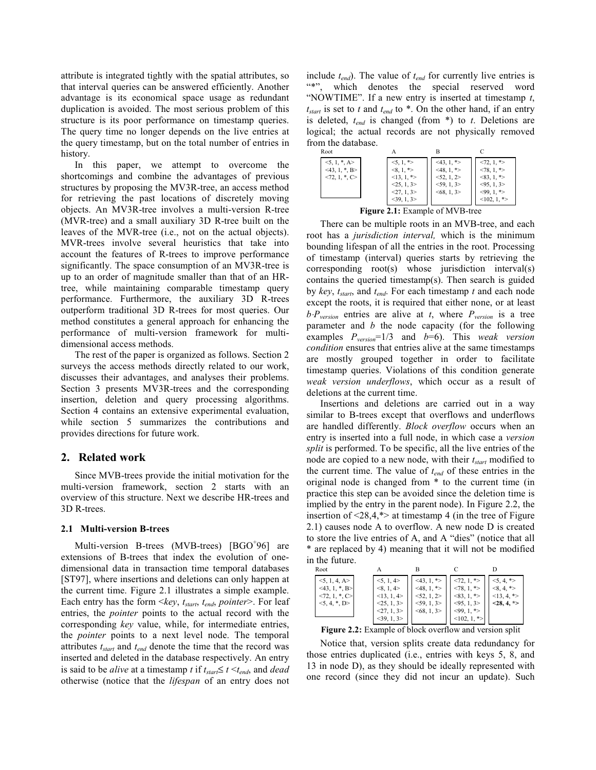attribute is integrated tightly with the spatial attributes, so that interval queries can be answered efficiently. Another advantage is its economical space usage as redundant duplication is avoided. The most serious problem of this structure is its poor performance on timestamp queries. The query time no longer depends on the live entries at the query timestamp, but on the total number of entries in history.

In this paper, we attempt to overcome the shortcomings and combine the advantages of previous structures by proposing the MV3R-tree, an access method for retrieving the past locations of discretely moving objects. An MV3R-tree involves a multi-version R-tree (MVR-tree) and a small auxiliary 3D R-tree built on the leaves of the MVR-tree (i.e., not on the actual objects). MVR-trees involve several heuristics that take into account the features of R-trees to improve performance significantly. The space consumption of an MV3R-tree is up to an order of magnitude smaller than that of an HRtree, while maintaining comparable timestamp query performance. Furthermore, the auxiliary 3D R-trees outperform traditional 3D R-trees for most queries. Our method constitutes a general approach for enhancing the performance of multi-version framework for multidimensional access methods.

The rest of the paper is organized as follows. Section 2 surveys the access methods directly related to our work, discusses their advantages, and analyses their problems. Section 3 presents MV3R-trees and the corresponding insertion, deletion and query processing algorithms. Section 4 contains an extensive experimental evaluation, while section 5 summarizes the contributions and provides directions for future work.

# 2. Related work

Since MVB-trees provide the initial motivation for the multi-version framework, section 2 starts with an overview of this structure. Next we describe HR-trees and 3D R-trees.

## 2.1 Multi-version B-trees

Multi-version B-trees (MVB-trees) [BGO<sup>+</sup>96] are extensions of B-trees that index the evolution of onedimensional data in transaction time temporal databases [ST97], where insertions and deletions can only happen at the current time. Figure 2.1 illustrates a simple example. Each entry has the form  $\langle key, t_{start}, t_{end}, pointer \rangle$ . For leaf entries, the *pointer* points to the actual record with the corresponding key value, while, for intermediate entries, the pointer points to a next level node. The temporal attributes  $t_{start}$  and  $t_{end}$  denote the time that the record was inserted and deleted in the database respectively. An entry is said to be *alive* at a timestamp *t* if  $t_{start} \leq t \leq t_{end}$ , and *dead* otherwise (notice that the *lifespan* of an entry does not include  $t_{end}$ ). The value of  $t_{end}$  for currently live entries is "\*", which denotes the special reserved word "NOWTIME". If a new entry is inserted at timestamp  $t$ ,  $t_{start}$  is set to t and  $t_{end}$  to \*. On the other hand, if an entry is deleted,  $t_{end}$  is changed (from  $*$ ) to  $t$ . Deletions are logical; the actual records are not physically removed from the database.

| Root                |                                 |               |                       |
|---------------------|---------------------------------|---------------|-----------------------|
| $5, 1, *, A$        | $5, 1,$ *>                      | $<$ 43, 1, *> | $<72, 1, *$           |
| $<43, 1, *, B>$     | $<8, 1, *>$                     | $<48, 1, *>$  | $<78, 1, *$           |
| $<72, 1, *$ , C $>$ | $<13, 1, *>$                    | <52, 1, 2>    | $<83, 1, \ge$         |
|                     | <25, 1, 3>                      | $<$ 59, 1, 3> | $<$ 95, 1, 3>         |
|                     | <27, 1, 3>                      | <68, 1, 3>    | $<99, 1, *$           |
|                     | 39, 1, 3                        |               | $\leq 102, 1, \infty$ |
| --                  | $\overline{\phantom{0}}$<br>- - | 22.525        |                       |

**Figure 2.1:** Example of MVB-tree

There can be multiple roots in an MVB-tree, and each root has a *jurisdiction interval*, which is the minimum bounding lifespan of all the entries in the root. Processing of timestamp (interval) queries starts by retrieving the corresponding  $root(s)$  whose jurisdiction interval(s) contains the queried timestamp(s). Then search is guided by key,  $t_{start}$ , and  $t_{end}$ . For each timestamp t and each node except the roots, it is required that either none, or at least  $b \cdot P_{version}$  entries are alive at t, where  $P_{version}$  is a tree parameter and  $b$  the node capacity (for the following examples  $P_{version} = 1/3$  and  $b=6$ ). This weak version *condition* ensures that entries alive at the same timestamps are mostly grouped together in order to facilitate timestamp queries. Violations of this condition generate weak version underflows, which occur as a result of deletions at the current time.

Insertions and deletions are carried out in a way similar to B-trees except that overflows and underflows are handled differently. Block overflow occurs when an entry is inserted into a full node, in which case a version *split* is performed. To be specific, all the live entries of the node are copied to a new node, with their  $t_{start}$  modified to the current time. The value of  $t_{end}$  of these entries in the original node is changed from \* to the current time (in practice this step can be avoided since the deletion time is implied by the entry in the parent node). In Figure 2.2, the insertion of  $\leq 28.4$ ,\*> at timestamp 4 (in the tree of Figure 2.1) causes node A to overflow. A new node D is created to store the live entries of A, and A "dies" (notice that all \* are replaced by 4) meaning that it will not be modified in the future.

| Root                                                                                   |                                                                |                                                                         |                                                                                        |                                                           |
|----------------------------------------------------------------------------------------|----------------------------------------------------------------|-------------------------------------------------------------------------|----------------------------------------------------------------------------------------|-----------------------------------------------------------|
| 5, 1, 4, A><br>$\leq 43, 1, *, B >$<br>$\langle 72, 1, *, C \rangle$<br>$5, 4, *$ , D> | 5, 1, 4<br><8, 1, 4><br><13, 1, 4><br><25, 1, 3><br><27, 1, 3> | $<$ 43, 1, *><br>*><br>$<$ 48, 1,<br>52, 1, 2<br>59, 1, 3<br><68, 1, 3> | *><br><72, 1,<br>*><br>< 78, 1,<br>< 83, 1,<br>*><br>$<$ 95, 1, 3><br>*><br>$<99, 1$ , | $5, 4, *$<br>$<8, 4, *>$<br>$<13, 4, *>$<br>$<$ 28, 4, *> |
|                                                                                        | 39, 1, 3                                                       |                                                                         | <102, 1,<br>$^*>$                                                                      |                                                           |

Figure 2.2: Example of block overflow and version split

Notice that, version splits create data redundancy for those entries duplicated (i.e., entries with keys 5, 8, and 13 in node D), as they should be ideally represented with one record (since they did not incur an update). Such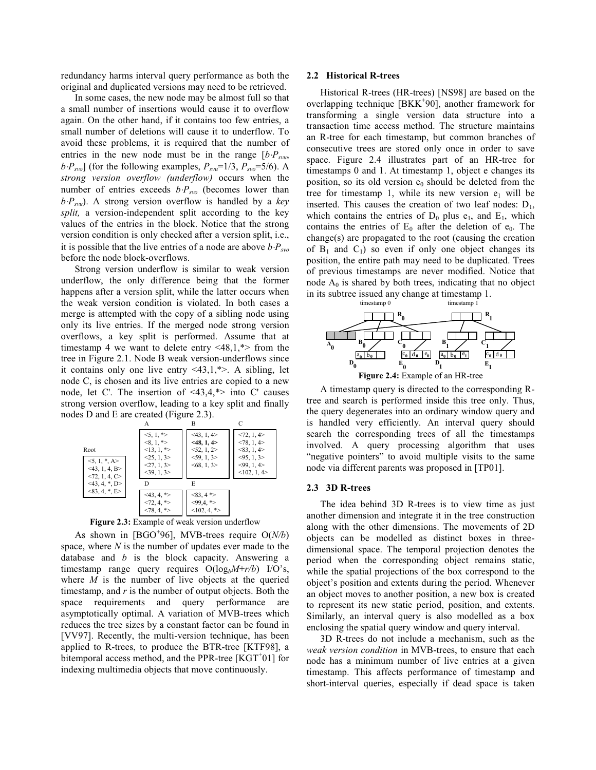redundancy harms interval query performance as both the original and duplicated versions may need to be retrieved.

In some cases, the new node may be almost full so that a small number of insertions would cause it to overflow again. On the other hand, if it contains too few entries, a small number of deletions will cause it to underflow. To avoid these problems, it is required that the number of entries in the new node must be in the range  $[b \cdot P_{swu},]$  $b \cdot P_{svo}$ ] (for the following examples,  $P_{svu}$ =1/3,  $P_{svo}$ =5/6). A strong version overflow (underflow) occurs when the number of entries exceeds  $b \cdot P_{svo}$  (becomes lower than  $b \cdot P_{svu}$ ). A strong version overflow is handled by a key split, a version-independent split according to the key values of the entries in the block. Notice that the strong version condition is only checked after a version split, i.e., it is possible that the live entries of a node are above  $b \cdot P_{\text{exp}}$ before the node block-overflows.

Strong version underflow is similar to weak version underflow, the only difference being that the former happens after a version split, while the latter occurs when the weak version condition is violated. In both cases a merge is attempted with the copy of a sibling node using only its live entries. If the merged node strong version overflows, a key split is performed. Assume that at timestamp 4 we want to delete entry  $\langle 48, 1, * \rangle$  from the tree in Figure 2.1. Node B weak version-underflows since it contains only one live entry  $\langle 43, 1, * \rangle$ . A sibling, let node C, is chosen and its live entries are copied to a new node, let C'. The insertion of  $\langle 43, 4, * \rangle$  into C' causes strong version overflow, leading to a key split and finally nodes D and E are created (Figure 2.3).



Figure 2.3: Example of weak version underflow

As shown in [BGO<sup>+</sup>96], MVB-trees require  $O(N/b)$ space, where  $N$  is the number of updates ever made to the database and  $b$  is the block capacity. Answering a timestamp range query requires  $O(log_bM+r/b)$  I/O's, where  $M$  is the number of live objects at the queried timestamp, and  $r$  is the number of output objects. Both the space requirements and query performance are asymptotically optimal. A variation of MVB-trees which reduces the tree sizes by a constant factor can be found in [VV97]. Recently, the multi-version technique, has been applied to R-trees, to produce the BTR-tree [KTF98], a bitemporal access method, and the PPR-tree  $[KGT<sup>+</sup>01]$  for indexing multimedia objects that move continuously.

### 2.2 Historical R-trees

Historical R-trees (HR-trees) [NS98] are based on the overlapping technique [BKK<sup>+</sup>90], another framework for transforming a single version data structure into a transaction time access method. The structure maintains an R-tree for each timestamp, but common branches of consecutive trees are stored only once in order to save space. Figure 2.4 illustrates part of an HR-tree for timestamps 0 and 1. At timestamp 1, object e changes its position, so its old version  $e_0$  should be deleted from the tree for timestamp 1, while its new version  $e_1$  will be inserted. This causes the creation of two leaf nodes:  $D_1$ , which contains the entries of  $D_0$  plus  $e_1$ , and  $E_1$ , which contains the entries of  $E_0$  after the deletion of  $e_0$ . The change(s) are propagated to the root (causing the creation of  $B_1$  and  $C_1$ ) so even if only one object changes its position, the entire path may need to be duplicated. Trees of previous timestamps are never modified. Notice that node  $A_0$  is shared by both trees, indicating that no object in its subtree issued any change at timestamp 1.



A timestamp query is directed to the corresponding Rtree and search is performed inside this tree only. Thus, the query degenerates into an ordinary window query and is handled very efficiently. An interval query should search the corresponding trees of all the timestamps involved. A query processing algorithm that uses "negative pointers" to avoid multiple visits to the same node via different parents was proposed in [TP01].

#### 2.3 3D R-trees

The idea behind 3D R-trees is to view time as just another dimension and integrate it in the tree construction along with the other dimensions. The movements of 2D objects can be modelled as distinct boxes in threedimensional space. The temporal projection denotes the period when the corresponding object remains static, while the spatial projections of the box correspond to the object's position and extents during the period. Whenever an object moves to another position, a new box is created to represent its new static period, position, and extents. Similarly, an interval query is also modelled as a box enclosing the spatial query window and query interval.

3D R-trees do not include a mechanism, such as the weak version condition in MVB-trees, to ensure that each node has a minimum number of live entries at a given timestamp. This affects performance of timestamp and short-interval queries, especially if dead space is taken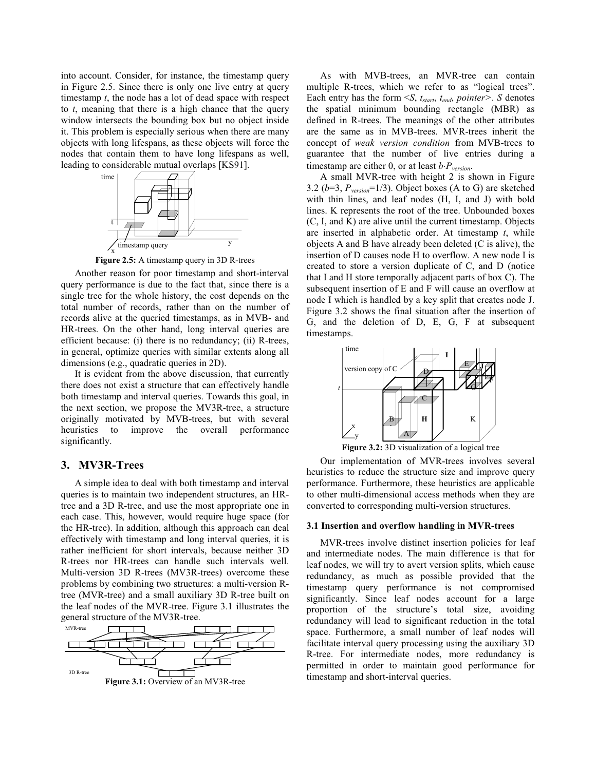into account. Consider, for instance, the timestamp query in Figure 2.5. Since there is only one live entry at query timestamp  $t$ , the node has a lot of dead space with respect to  $t$ , meaning that there is a high chance that the query window intersects the bounding box but no object inside it. This problem is especially serious when there are many objects with long lifespans, as these objects will force the nodes that contain them to have long lifespans as well, leading to considerable mutual overlaps [KS91].



Figure 2.5: A timestamp query in 3D R-trees

Another reason for poor timestamp and short-interval query performance is due to the fact that, since there is a single tree for the whole history, the cost depends on the total number of records, rather than on the number of records alive at the queried timestamps, as in MVB- and HR-trees. On the other hand, long interval queries are efficient because: (i) there is no redundancy; (ii) R-trees, in general, optimize queries with similar extents along all dimensions (e.g., quadratic queries in 2D).

It is evident from the above discussion, that currently there does not exist a structure that can effectively handle both timestamp and interval queries. Towards this goal, in the next section, we propose the MV3R-tree, a structure originally motivated by MVB-trees, but with several improve the overall performance heuristics to significantly.

# 3. MV3R-Trees

A simple idea to deal with both timestamp and interval queries is to maintain two independent structures, an HRtree and a 3D R-tree, and use the most appropriate one in each case. This, however, would require huge space (for the HR-tree). In addition, although this approach can deal effectively with timestamp and long interval queries, it is rather inefficient for short intervals, because neither 3D R-trees nor HR-trees can handle such intervals well. Multi-version 3D R-trees (MV3R-trees) overcome these problems by combining two structures: a multi-version Rtree (MVR-tree) and a small auxiliary 3D R-tree built on the leaf nodes of the MVR-tree. Figure 3.1 illustrates the general structure of the MV3R-tree.



As with MVB-trees, an MVR-tree can contain multiple R-trees, which we refer to as "logical trees". Each entry has the form  $\leq S$ ,  $t_{start}$ ,  $t_{end}$ , pointer>. S denotes the spatial minimum bounding rectangle (MBR) as defined in R-trees. The meanings of the other attributes are the same as in MVB-trees. MVR-trees inherit the concept of weak version condition from MVB-trees to guarantee that the number of live entries during a timestamp are either 0, or at least  $b \cdot P_{version}$ .

A small MVR-tree with height 2 is shown in Figure 3.2 ( $b=3$ ,  $P_{version}=1/3$ ). Object boxes (A to G) are sketched with thin lines, and leaf nodes (H, I, and J) with bold lines. K represents the root of the tree. Unbounded boxes (C, I, and K) are alive until the current timestamp. Objects are inserted in alphabetic order. At timestamp  $t$ , while objects A and B have already been deleted (C is alive), the insertion of D causes node H to overflow. A new node I is created to store a version duplicate of C, and D (notice that I and H store temporally adjacent parts of box C). The subsequent insertion of E and F will cause an overflow at node I which is handled by a key split that creates node J. Figure 3.2 shows the final situation after the insertion of G, and the deletion of D, E, G, F at subsequent timestamps.



Figure 3.2: 3D visualization of a logical tree

Our implementation of MVR-trees involves several heuristics to reduce the structure size and improve query performance. Furthermore, these heuristics are applicable to other multi-dimensional access methods when they are converted to corresponding multi-version structures.

#### 3.1 Insertion and overflow handling in MVR-trees

MVR-trees involve distinct insertion policies for leaf and intermediate nodes. The main difference is that for leaf nodes, we will try to avert version splits, which cause redundancy, as much as possible provided that the timestamp query performance is not compromised significantly. Since leaf nodes account for a large proportion of the structure's total size, avoiding redundancy will lead to significant reduction in the total space. Furthermore, a small number of leaf nodes will facilitate interval query processing using the auxiliary 3D R-tree. For intermediate nodes, more redundancy is permitted in order to maintain good performance for timestamp and short-interval queries.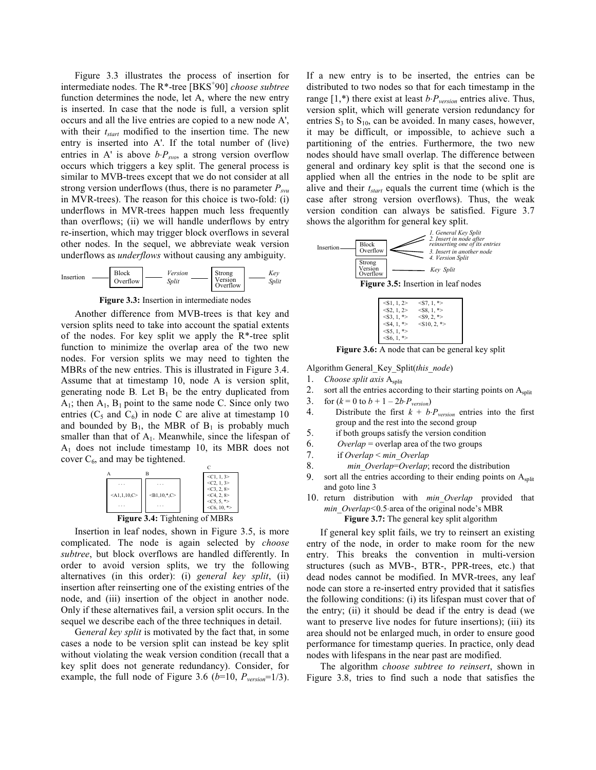Figure 3.3 illustrates the process of insertion for intermediate nodes. The R<sup>\*</sup>-tree [BKS<sup>+</sup>90] *choose subtree* function determines the node, let A, where the new entry is inserted. In case that the node is full, a version split occurs and all the live entries are copied to a new node A', with their  $t_{start}$  modified to the insertion time. The new entry is inserted into A'. If the total number of (live) entries in A' is above  $b \cdot P_{\text{two}}$ , a strong version overflow occurs which triggers a key split. The general process is similar to MVB-trees except that we do not consider at all strong version underflows (thus, there is no parameter  $P_{swu}$ in MVR-trees). The reason for this choice is two-fold: (i) underflows in MVR-trees happen much less frequently than overflows; (ii) we will handle underflows by entry re-insertion, which may trigger block overflows in several other nodes. In the sequel, we abbreviate weak version underflows as *underflows* without causing any ambiguity.



Figure 3.3: Insertion in intermediate nodes

Another difference from MVB-trees is that key and version splits need to take into account the spatial extents of the nodes. For key split we apply the R\*-tree split function to minimize the overlap area of the two new nodes. For version splits we may need to tighten the MBRs of the new entries. This is illustrated in Figure 3.4. Assume that at timestamp 10, node A is version split, generating node B. Let  $B_1$  be the entry duplicated from  $A_1$ ; then  $A_1$ ,  $B_1$  point to the same node C. Since only two entries ( $C_5$  and  $C_6$ ) in node C are alive at timestamp 10 and bounded by  $B_1$ , the MBR of  $B_1$  is probably much smaller than that of  $A_1$ . Meanwhile, since the lifespan of  $A_1$  does not include timestamp 10, its MBR does not cover  $C_6$ , and may be tightened.

|                |                | $\leq C1, 1, 3$                        |
|----------------|----------------|----------------------------------------|
|                |                | $<$ C <sub>2</sub> , 1, 3>             |
| $<$ A1,1,10,C> | $-B1,10,^*$ .C | $<$ C <sub>3</sub> , 2, 8><br><<12, 8> |
|                |                | $<$ C5, 5, *>                          |
| .              | $4. T: -1.$    | $<$ C6, 10, *><br>$\sqrt{1313}$        |

**Figure 3.4:** Tightening of MBRs

Insertion in leaf nodes, shown in Figure 3.5, is more complicated. The node is again selected by *choose subtree*, but block overflows are handled differently. In order to avoid version splits, we try the following alternatives (in this order): (i) general key split, (ii) insertion after reinserting one of the existing entries of the node, and (iii) insertion of the object in another node. Only if these alternatives fail, a version split occurs. In the sequel we describe each of the three techniques in detail.

General key split is motivated by the fact that, in some cases a node to be version split can instead be key split without violating the weak version condition (recall that a key split does not generate redundancy). Consider, for example, the full node of Figure 3.6 ( $b=10$ ,  $P_{version}=1/3$ ). If a new entry is to be inserted, the entries can be distributed to two nodes so that for each timestamp in the range  $[1,*)$  there exist at least  $b \cdot P_{version}$  entries alive. Thus, version split, which will generate version redundancy for entries  $S_3$  to  $S_{10}$ , can be avoided. In many cases, however, it may be difficult, or impossible, to achieve such a partitioning of the entries. Furthermore, the two new nodes should have small overlap. The difference between general and ordinary key split is that the second one is applied when all the entries in the node to be split are alive and their  $t_{start}$  equals the current time (which is the case after strong version overflows). Thus, the weak version condition can always be satisfied. Figure 3.7 shows the algorithm for general key split.



Figure 3.6: A node that can be general key split

Algorithm General\_Key\_Split(this\_node)

- 1. Choose split axis  $A_{split}$
- 2. sort all the entries according to their starting points on Asplit
- 3. for  $(k = 0$  to  $b + 1 - 2b \cdot P_{version})$
- 4. Distribute the first  $k + b \cdot P_{version}$  entries into the first group and the rest into the second group
- 5. if both groups satisfy the version condition
- 6. Overlap = overlap area of the two groups
- 7. if Overlap < min Overlap
- 8. min Overlap=Overlap; record the distribution
- 9. sort all the entries according to their ending points on  $A<sub>split</sub>$ and goto line 3
- 10. return distribution with min Overlap provided that min\_Overlap<0.5 area of the original node's MBR

Figure 3.7: The general key split algorithm

If general key split fails, we try to reinsert an existing entry of the node, in order to make room for the new entry. This breaks the convention in multi-version structures (such as MVB-, BTR-, PPR-trees, etc.) that dead nodes cannot be modified. In MVR-trees, any leaf node can store a re-inserted entry provided that it satisfies the following conditions: (i) its lifespan must cover that of the entry; (ii) it should be dead if the entry is dead (we want to preserve live nodes for future insertions); (iii) its area should not be enlarged much, in order to ensure good performance for timestamp queries. In practice, only dead nodes with lifespans in the near past are modified.

The algorithm *choose subtree to reinsert*, shown in Figure 3.8, tries to find such a node that satisfies the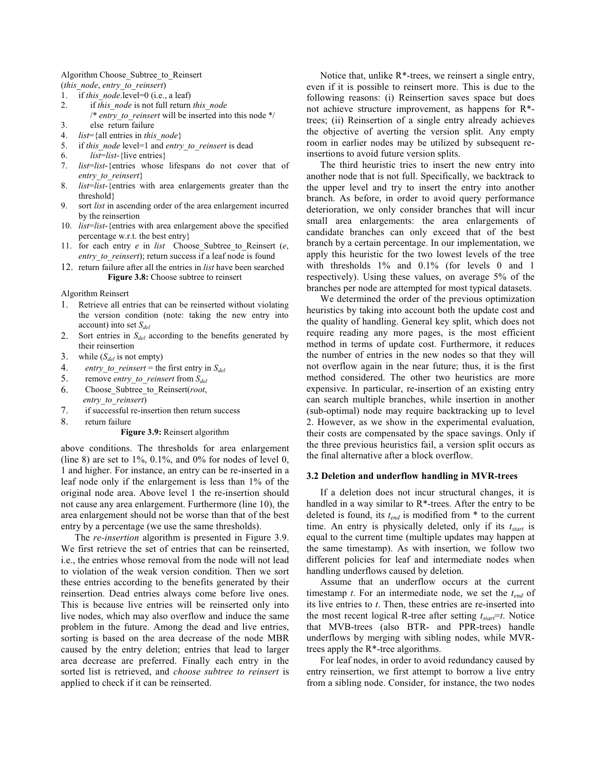#### Algorithm Choose Subtree to Reinsert

(this\_node, entry\_to\_reinsert)

- if this node.level= $0$  (i.e., a leaf)  $1.$
- 2. if this node is not full return this node /\* entry to reinsert will be inserted into this node \*/  $3.$ else return failure
- 4.  $list = \{all entries in this node\}$
- 5. if this node level=1 and entry to reinsert is dead
- 6.
- $list=list \{live entries\}$
- list=list-{entries whose lifespans do not cover that of 7. entry to reinsert}
- 8. list=list-{entries with area enlargements greater than the threshold?
- 9. sort *list* in ascending order of the area enlargement incurred by the reinsertion
- 10. *list=list*-{entries with area enlargement above the specified percentage w.r.t. the best entry
- 11. for each entry  $e$  in *list* Choose Subtree to Reinsert  $(e,$ entry to reinsert); return success if a leaf node is found
- 12. return failure after all the entries in *list* have been searched Figure 3.8: Choose subtree to reinsert

Algorithm Reinsert

- 1. Retrieve all entries that can be reinserted without violating the version condition (note: taking the new entry into account) into set  $S_{del}$
- Sort entries in  $S_{del}$  according to the benefits generated by 2. their reinsertion
- $3.$ while  $(S_{del}$  is not empty)
- $\overline{4}$ . *entry\_to\_reinsert* = the first entry in  $S_{del}$
- 5. remove entry\_to\_reinsert from  $S_{del}$
- 6. Choose Subtree to Reinsert(root, entry to reinsert)
- 7. if successful re-insertion then return success
- 8. return failure

## Figure 3.9: Reinsert algorithm

above conditions. The thresholds for area enlargement (line 8) are set to  $1\%$ , 0.1%, and 0% for nodes of level 0, 1 and higher. For instance, an entry can be re-inserted in a leaf node only if the enlargement is less than 1% of the original node area. Above level 1 the re-insertion should not cause any area enlargement. Furthermore (line 10), the area enlargement should not be worse than that of the best entry by a percentage (we use the same thresholds).

The *re-insertion* algorithm is presented in Figure 3.9. We first retrieve the set of entries that can be reinserted, i.e., the entries whose removal from the node will not lead to violation of the weak version condition. Then we sort these entries according to the benefits generated by their reinsertion. Dead entries always come before live ones. This is because live entries will be reinserted only into live nodes, which may also overflow and induce the same problem in the future. Among the dead and live entries, sorting is based on the area decrease of the node MBR caused by the entry deletion; entries that lead to larger area decrease are preferred. Finally each entry in the sorted list is retrieved, and *choose subtree to reinsert* is applied to check if it can be reinserted.

Notice that, unlike R\*-trees, we reinsert a single entry, even if it is possible to reinsert more. This is due to the following reasons: (i) Reinsertion saves space but does not achieve structure improvement, as happens for  $R^*$ trees; (ii) Reinsertion of a single entry already achieves the objective of averting the version split. Any empty room in earlier nodes may be utilized by subsequent reinsertions to avoid future version splits.

The third heuristic tries to insert the new entry into another node that is not full. Specifically, we backtrack to the upper level and try to insert the entry into another branch. As before, in order to avoid query performance deterioration, we only consider branches that will incur small area enlargements: the area enlargements of candidate branches can only exceed that of the best branch by a certain percentage. In our implementation, we apply this heuristic for the two lowest levels of the tree with thresholds 1% and 0.1% (for levels 0 and 1 respectively). Using these values, on average 5% of the branches per node are attempted for most typical datasets.

We determined the order of the previous optimization heuristics by taking into account both the update cost and the quality of handling. General key split, which does not require reading any more pages, is the most efficient method in terms of update cost. Furthermore, it reduces the number of entries in the new nodes so that they will not overflow again in the near future; thus, it is the first method considered. The other two heuristics are more expensive. In particular, re-insertion of an existing entry can search multiple branches, while insertion in another (sub-optimal) node may require backtracking up to level 2. However, as we show in the experimental evaluation, their costs are compensated by the space savings. Only if the three previous heuristics fail, a version split occurs as the final alternative after a block overflow.

#### 3.2 Deletion and underflow handling in MVR-trees

If a deletion does not incur structural changes, it is handled in a way similar to  $R^*$ -trees. After the entry to be deleted is found, its  $t_{end}$  is modified from  $*$  to the current time. An entry is physically deleted, only if its  $t_{start}$  is equal to the current time (multiple updates may happen at the same timestamp). As with insertion, we follow two different policies for leaf and intermediate nodes when handling underflows caused by deletion.

Assume that an underflow occurs at the current timestamp  $t$ . For an intermediate node, we set the  $t_{end}$  of its live entries to  $t$ . Then, these entries are re-inserted into the most recent logical R-tree after setting  $t_{start} = t$ . Notice that MVB-trees (also BTR- and PPR-trees) handle underflows by merging with sibling nodes, while MVRtrees apply the  $R^*$ -tree algorithms.

For leaf nodes, in order to avoid redundancy caused by entry reinsertion, we first attempt to borrow a live entry from a sibling node. Consider, for instance, the two nodes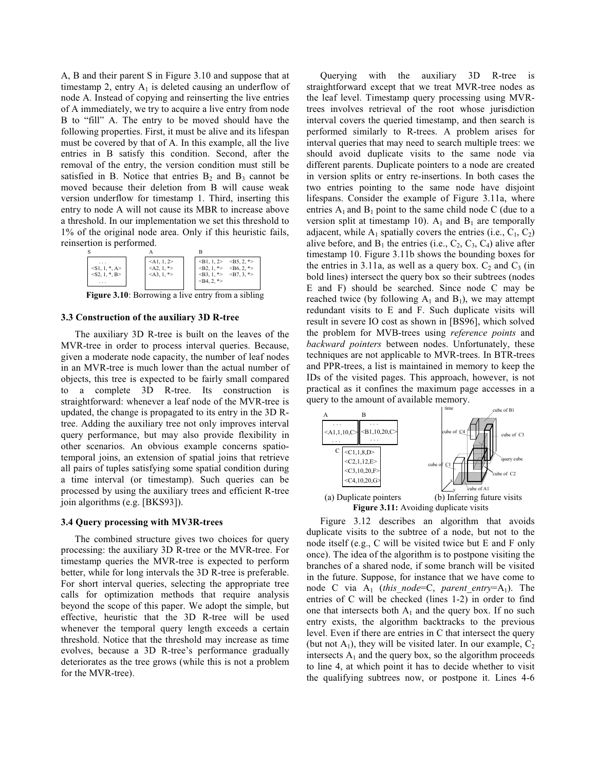A, B and their parent S in Figure 3.10 and suppose that at timestamp 2, entry  $A_1$  is deleted causing an underflow of node A. Instead of copying and reinserting the live entries of A immediately, we try to acquire a live entry from node B to "fill" A. The entry to be moved should have the following properties. First, it must be alive and its lifespan must be covered by that of A. In this example, all the live entries in B satisfy this condition. Second, after the removal of the entry, the version condition must still be satisfied in B. Notice that entries  $B_2$  and  $B_3$  cannot be moved because their deletion from B will cause weak version underflow for timestamp 1. Third, inserting this entry to node A will not cause its MBR to increase above a threshold. In our implementation we set this threshold to 1% of the original node area. Only if this heuristic fails, reinsertion is performed.



**Figure 3.10:** Borrowing a live entry from a sibling

### 3.3 Construction of the auxiliary 3D R-tree

The auxiliary 3D R-tree is built on the leaves of the MVR-tree in order to process interval queries. Because, given a moderate node capacity, the number of leaf nodes in an MVR-tree is much lower than the actual number of objects, this tree is expected to be fairly small compared to a complete 3D R-tree. Its construction is straightforward: whenever a leaf node of the MVR-tree is updated, the change is propagated to its entry in the 3D Rtree. Adding the auxiliary tree not only improves interval query performance, but may also provide flexibility in other scenarios. An obvious example concerns spatiotemporal joins, an extension of spatial joins that retrieve all pairs of tuples satisfying some spatial condition during a time interval (or timestamp). Such queries can be processed by using the auxiliary trees and efficient R-tree join algorithms (e.g. [BKS93]).

## 3.4 Query processing with MV3R-trees

The combined structure gives two choices for query processing: the auxiliary 3D R-tree or the MVR-tree. For timestamp queries the MVR-tree is expected to perform better, while for long intervals the 3D R-tree is preferable. For short interval queries, selecting the appropriate tree calls for optimization methods that require analysis beyond the scope of this paper. We adopt the simple, but effective, heuristic that the 3D R-tree will be used whenever the temporal query length exceeds a certain threshold. Notice that the threshold may increase as time evolves, because a 3D R-tree's performance gradually deteriorates as the tree grows (while this is not a problem for the MVR-tree).

Querying with the auxiliary 3D R-tree is straightforward except that we treat MVR-tree nodes as the leaf level. Timestamp query processing using MVRtrees involves retrieval of the root whose jurisdiction interval covers the queried timestamp, and then search is performed similarly to R-trees. A problem arises for interval queries that may need to search multiple trees: we should avoid duplicate visits to the same node via different parents. Duplicate pointers to a node are created in version splits or entry re-insertions. In both cases the two entries pointing to the same node have disjoint lifespans. Consider the example of Figure 3.11a, where entries  $A_1$  and  $B_1$  point to the same child node C (due to a version split at timestamp 10).  $A_1$  and  $B_1$  are temporally adjacent, while  $A_1$  spatially covers the entries (i.e.,  $C_1$ ,  $C_2$ ) alive before, and  $B_1$  the entries (i.e.,  $C_2$ ,  $C_3$ ,  $C_4$ ) alive after timestamp 10. Figure 3.11b shows the bounding boxes for the entries in 3.11a, as well as a query box.  $C_2$  and  $C_3$  (in bold lines) intersect the query box so their subtrees (nodes E and F) should be searched. Since node C may be reached twice (by following  $A_1$  and  $B_1$ ), we may attempt redundant visits to E and F. Such duplicate visits will result in severe IO cost as shown in [BS96], which solved the problem for MVB-trees using *reference points* and backward pointers between nodes. Unfortunately, these techniques are not applicable to MVR-trees. In BTR-trees and PPR-trees, a list is maintained in memory to keep the IDs of the visited pages. This approach, however, is not practical as it confines the maximum page accesses in a query to the amount of available memory.



Figure 3.12 describes an algorithm that avoids duplicate visits to the subtree of a node, but not to the node itself (e.g., C will be visited twice but E and F only once). The idea of the algorithm is to postpone visiting the branches of a shared node, if some branch will be visited in the future. Suppose, for instance that we have come to node C via  $A_1$  (this node=C, parent entry=A<sub>1</sub>). The entries of C will be checked (lines 1-2) in order to find one that intersects both  $A_1$  and the query box. If no such entry exists, the algorithm backtracks to the previous level. Even if there are entries in C that intersect the query (but not A<sub>1</sub>), they will be visited later. In our example,  $C_2$ intersects  $A_1$  and the query box, so the algorithm proceeds to line 4, at which point it has to decide whether to visit the qualifying subtrees now, or postpone it. Lines 4-6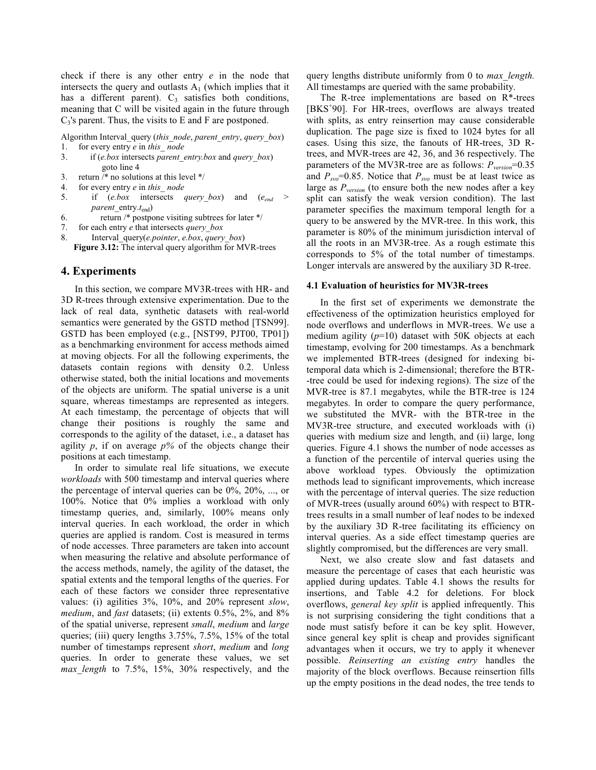check if there is any other entry  $e$  in the node that intersects the query and outlasts  $A_1$  (which implies that it has a different parent). C<sub>3</sub> satisfies both conditions, meaning that C will be visited again in the future through  $C_3$ 's parent. Thus, the visits to E and F are postponed.

Algorithm Interval\_query (this\_node, parent\_entry, query\_box) for every entry e in this node  $\mathbf{1}$ .

- 3. if  $(e, box$  intersects *parent entry, box* and *query box*) goto line 4
- $3.$ return /\* no solutions at this level \*/
- $\overline{4}$ . for every entry e in this node
- 5. if  $(e.box$  intersects *query* box) and  $(e_{end}$ parent entry. $t_{end}$ )
- 6. return /\* postpone visiting subtrees for later \*/
- $7<sub>1</sub>$ for each entry e that intersects *query* box
- 8. Interval query(*e.pointer*, *e.box*, *query box*) Figure 3.12: The interval query algorithm for MVR-trees

# 4. Experiments

In this section, we compare MV3R-trees with HR- and 3D R-trees through extensive experimentation. Due to the lack of real data, synthetic datasets with real-world semantics were generated by the GSTD method [TSN99]. GSTD has been employed (e.g., [NST99, PJT00, TP01]) as a benchmarking environment for access methods aimed at moving objects. For all the following experiments, the datasets contain regions with density 0.2. Unless otherwise stated, both the initial locations and movements of the objects are uniform. The spatial universe is a unit square, whereas timestamps are represented as integers. At each timestamp, the percentage of objects that will change their positions is roughly the same and corresponds to the agility of the dataset, i.e., a dataset has agility p, if on average  $p\%$  of the objects change their positions at each timestamp.

In order to simulate real life situations, we execute workloads with 500 timestamp and interval queries where the percentage of interval queries can be  $0\%$ ,  $20\%$ , ..., or 100%. Notice that 0% implies a workload with only timestamp queries, and, similarly, 100% means only interval queries. In each workload, the order in which queries are applied is random. Cost is measured in terms of node accesses. Three parameters are taken into account when measuring the relative and absolute performance of the access methods, namely, the agility of the dataset, the spatial extents and the temporal lengths of the queries. For each of these factors we consider three representative values: (i) agilities 3%, 10%, and 20% represent slow, *medium*, and *fast* datasets; (ii) extents 0.5%, 2%, and 8% of the spatial universe, represent small, medium and large queries; (iii) query lengths 3.75%, 7.5%, 15% of the total number of timestamps represent short, medium and long queries. In order to generate these values, we set max length to 7.5%, 15%, 30% respectively, and the

query lengths distribute uniformly from 0 to *max length*. All timestamps are queried with the same probability.

The R-tree implementations are based on R\*-trees [BKS<sup>+90]</sup>. For HR-trees, overflows are always treated with splits, as entry reinsertion may cause considerable duplication. The page size is fixed to 1024 bytes for all cases. Using this size, the fanouts of HR-trees, 3D Rtrees, and MVR-trees are 42, 36, and 36 respectively. The parameters of the MV3R-tree are as follows:  $P_{version} = 0.35$ and  $P_{svo}$ =0.85. Notice that  $P_{svo}$  must be at least twice as large as  $P_{version}$  (to ensure both the new nodes after a key split can satisfy the weak version condition). The last parameter specifies the maximum temporal length for a query to be answered by the MVR-tree. In this work, this parameter is 80% of the minimum jurisdiction interval of all the roots in an MV3R-tree. As a rough estimate this corresponds to 5% of the total number of timestamps. Longer intervals are answered by the auxiliary 3D R-tree.

## 4.1 Evaluation of heuristics for MV3R-trees

In the first set of experiments we demonstrate the effectiveness of the optimization heuristics employed for node overflows and underflows in MVR-trees. We use a medium agility  $(p=10)$  dataset with 50K objects at each timestamp, evolving for 200 timestamps. As a benchmark we implemented BTR-trees (designed for indexing bitemporal data which is 2-dimensional; therefore the BTR--tree could be used for indexing regions). The size of the MVR-tree is 87.1 megabytes, while the BTR-tree is 124 megabytes. In order to compare the query performance, we substituted the MVR- with the BTR-tree in the MV3R-tree structure, and executed workloads with (i) queries with medium size and length, and (ii) large, long queries. Figure 4.1 shows the number of node accesses as a function of the percentile of interval queries using the above workload types. Obviously the optimization methods lead to significant improvements, which increase with the percentage of interval queries. The size reduction of MVR-trees (usually around 60%) with respect to BTRtrees results in a small number of leaf nodes to be indexed by the auxiliary 3D R-tree facilitating its efficiency on interval queries. As a side effect timestamp queries are slightly compromised, but the differences are very small.

Next, we also create slow and fast datasets and measure the percentage of cases that each heuristic was applied during updates. Table 4.1 shows the results for insertions, and Table 4.2 for deletions. For block overflows, *general key split* is applied infrequently. This is not surprising considering the tight conditions that a node must satisfy before it can be key split. However, since general key split is cheap and provides significant advantages when it occurs, we try to apply it whenever possible. Reinserting an existing entry handles the majority of the block overflows. Because reinsertion fills up the empty positions in the dead nodes, the tree tends to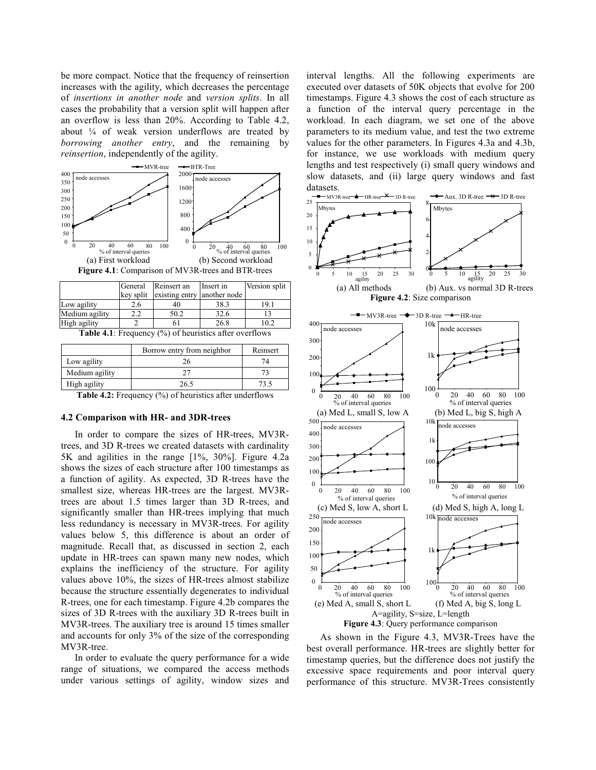be more compact. Notice that the frequency of reinsertion increases with the agility, which decreases the percentage of insertions in another node and version splits. In all cases the probability that a version split will happen after an overflow is less than  $20\%$ . According to Table 4.2, about  $\frac{1}{4}$  of weak version underflows are treated by *borrowing another entry*, and the remaining by *reinsertion*, independently of the agility.



|                | key split | existing entry another node |      |   |
|----------------|-----------|-----------------------------|------|---|
| Low agility    |           | 40                          | 38.3 | Q |
| Medium agility |           |                             | 32.6 |   |
| High agility   |           |                             | 26.8 |   |

**Table 4.1:** Frequency  $\left(\frac{0}{0}\right)$  of heuristics after overflows

|                | Borrow entry from neighbor | Reinsert |
|----------------|----------------------------|----------|
| Low agility    |                            | 74       |
| Medium agility |                            |          |
| High agility   | 26.5                       |          |
|                |                            |          |

Table 4.2: Frequency (%) of heuristics after underflows

## 4.2 Comparison with HR- and 3DR-trees

In order to compare the sizes of HR-trees, MV3Rtrees, and 3D R-trees we created datasets with cardinality 5K and agilities in the range [1%, 30%]. Figure 4.2a shows the sizes of each structure after 100 timestamps as a function of agility. As expected, 3D R-trees have the smallest size, whereas HR-trees are the largest. MV3Rtrees are about 1.5 times larger than 3D R-trees, and significantly smaller than HR-trees implying that much less redundancy is necessary in MV3R-trees. For agility values below 5, this difference is about an order of magnitude. Recall that, as discussed in section 2, each update in HR-trees can spawn many new nodes, which explains the inefficiency of the structure. For agility values above 10%, the sizes of HR-trees almost stabilize because the structure essentially degenerates to individual R-trees, one for each timestamp. Figure 4.2b compares the sizes of 3D R-trees with the auxiliary 3D R-trees built in MV3R-trees. The auxiliary tree is around 15 times smaller and accounts for only 3% of the size of the corresponding MV3R-tree.

In order to evaluate the query performance for a wide range of situations, we compared the access methods under various settings of agility, window sizes and

interval lengths. All the following experiments are executed over datasets of 50K objects that evolve for 200 timestamps. Figure 4.3 shows the cost of each structure as a function of the interval query percentage in the workload. In each diagram, we set one of the above parameters to its medium value, and test the two extreme values for the other parameters. In Figures 4.3a and 4.3b, for instance, we use workloads with medium query lengths and test respectively (i) small query windows and slow datasets, and (ii) large query windows and fast datasets.



As shown in the Figure 4.3, MV3R-Trees have the best overall performance. HR-trees are slightly better for timestamp queries, but the difference does not justify the excessive space requirements and poor interval query performance of this structure. MV3R-Trees consistently